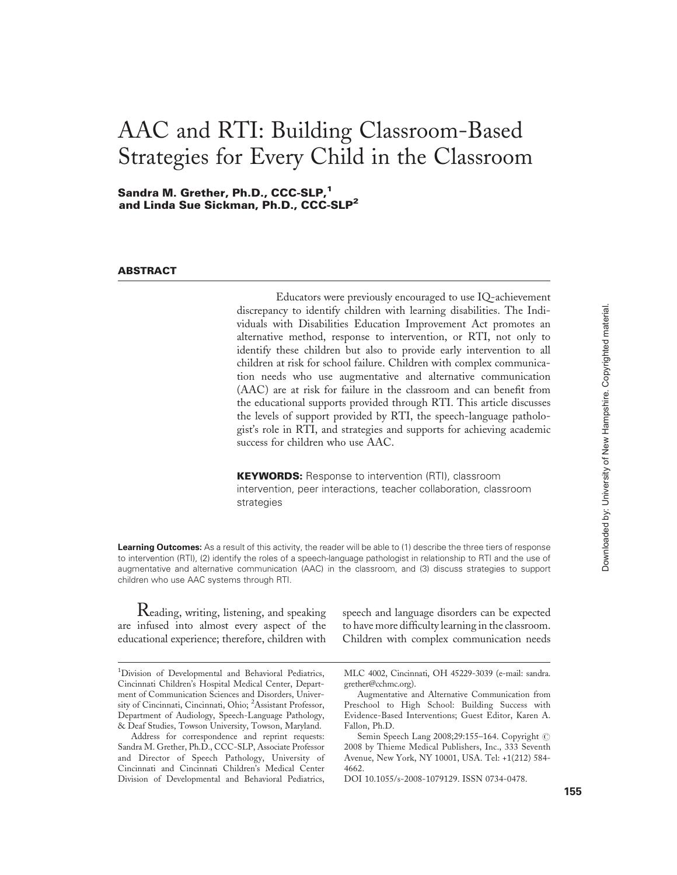# AAC and RTI: Building Classroom-Based Strategies for Every Child in the Classroom

## Sandra M. Grether, Ph.D., CCC-SLP.<sup>1</sup> and Linda Sue Sickman, Ph.D., CCC-SLP<sup>2</sup>

#### **ABSTRACT**

Educators were previously encouraged to use IQ-achievement discrepancy to identify children with learning disabilities. The Individuals with Disabilities Education Improvement Act promotes an alternative method, response to intervention, or RTI, not only to identify these children but also to provide early intervention to all children at risk for school failure. Children with complex communication needs who use augmentative and alternative communication (AAC) are at risk for failure in the classroom and can benefit from the educational supports provided through RTI. This article discusses the levels of support provided by RTI, the speech-language pathologist's role in RTI, and strategies and supports for achieving academic success for children who use AAC.

**KEYWORDS:** Response to intervention (RTI), classroom intervention, peer interactions, teacher collaboration, classroom strategies

Learning Outcomes: As a result of this activity, the reader will be able to (1) describe the three tiers of response to intervention (RTI), (2) identify the roles of a speech-language pathologist in relationship to RTI and the use of augmentative and alternative communication (AAC) in the classroom, and (3) discuss strategies to support children who use AAC systems through RTI.

Reading, writing, listening, and speaking are infused into almost every aspect of the educational experience; therefore, children with

speech and language disorders can be expected to have more difficulty learning in the classroom. Children with complex communication needs

MLC 4002, Cincinnati, OH 45229-3039 (e-mail: sandra. grether@cchmc.org).

DOI 10.1055/s-2008-1079129. ISSN 0734-0478.

<sup>&</sup>lt;sup>1</sup>Division of Developmental and Behavioral Pediatrics, Cincinnati Children's Hospital Medical Center, Department of Communication Sciences and Disorders, University of Cincinnati, Cincinnati, Ohio; <sup>2</sup>Assistant Professor, Department of Audiology, Speech-Language Pathology, & Deaf Studies, Towson University, Towson, Maryland.

Address for correspondence and reprint requests: Sandra M. Grether, Ph.D., CCC-SLP, Associate Professor and Director of Speech Pathology, University of Cincinnati and Cincinnati Children's Medical Center Division of Developmental and Behavioral Pediatrics,

Augmentative and Alternative Communication from Preschool to High School: Building Success with Evidence-Based Interventions; Guest Editor, Karen A. Fallon, Ph.D.

Semin Speech Lang 2008;29:155–164. Copyright # 2008 by Thieme Medical Publishers, Inc., 333 Seventh Avenue, New York, NY 10001, USA. Tel: +1(212) 584- 4662.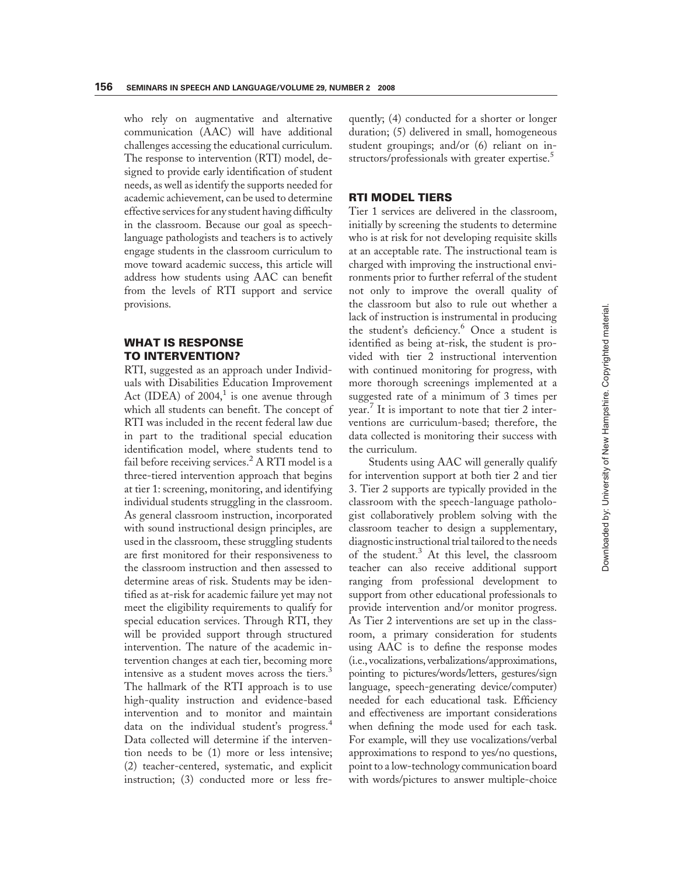who rely on augmentative and alternative communication (AAC) will have additional challenges accessing the educational curriculum. The response to intervention (RTI) model, designed to provide early identification of student needs, as well as identify the supports needed for academic achievement, can be used to determine effective services for any student having difficulty in the classroom. Because our goal as speechlanguage pathologists and teachers is to actively engage students in the classroom curriculum to move toward academic success, this article will address how students using AAC can benefit from the levels of RTI support and service provisions.

# WHAT IS RESPONSE TO INTERVENTION?

RTI, suggested as an approach under Individuals with Disabilities Education Improvement Act (IDEA) of 2004,<sup>1</sup> is one avenue through which all students can benefit. The concept of RTI was included in the recent federal law due in part to the traditional special education identification model, where students tend to fail before receiving services.<sup>2</sup> A RTI model is a three-tiered intervention approach that begins at tier 1: screening, monitoring, and identifying individual students struggling in the classroom. As general classroom instruction, incorporated with sound instructional design principles, are used in the classroom, these struggling students are first monitored for their responsiveness to the classroom instruction and then assessed to determine areas of risk. Students may be identified as at-risk for academic failure yet may not meet the eligibility requirements to qualify for special education services. Through RTI, they will be provided support through structured intervention. The nature of the academic intervention changes at each tier, becoming more intensive as a student moves across the tiers.<sup>3</sup> The hallmark of the RTI approach is to use high-quality instruction and evidence-based intervention and to monitor and maintain data on the individual student's progress.<sup>4</sup> Data collected will determine if the intervention needs to be (1) more or less intensive; (2) teacher-centered, systematic, and explicit instruction; (3) conducted more or less frequently; (4) conducted for a shorter or longer duration; (5) delivered in small, homogeneous student groupings; and/or (6) reliant on instructors/professionals with greater expertise.<sup>5</sup>

#### RTI MODEL TIERS

Tier 1 services are delivered in the classroom, initially by screening the students to determine who is at risk for not developing requisite skills at an acceptable rate. The instructional team is charged with improving the instructional environments prior to further referral of the student not only to improve the overall quality of the classroom but also to rule out whether a lack of instruction is instrumental in producing the student's deficiency.<sup>6</sup> Once a student is identified as being at-risk, the student is provided with tier 2 instructional intervention with continued monitoring for progress, with more thorough screenings implemented at a suggested rate of a minimum of 3 times per year.<sup>7</sup> It is important to note that tier 2 interventions are curriculum-based; therefore, the data collected is monitoring their success with the curriculum.

Students using AAC will generally qualify for intervention support at both tier 2 and tier 3. Tier 2 supports are typically provided in the classroom with the speech-language pathologist collaboratively problem solving with the classroom teacher to design a supplementary, diagnostic instructional trial tailored to the needs of the student.<sup>3</sup> At this level, the classroom teacher can also receive additional support ranging from professional development to support from other educational professionals to provide intervention and/or monitor progress. As Tier 2 interventions are set up in the classroom, a primary consideration for students using AAC is to define the response modes (i.e., vocalizations, verbalizations/approximations, pointing to pictures/words/letters, gestures/sign language, speech-generating device/computer) needed for each educational task. Efficiency and effectiveness are important considerations when defining the mode used for each task. For example, will they use vocalizations/verbal approximations to respond to yes/no questions, point to a low-technology communication board with words/pictures to answer multiple-choice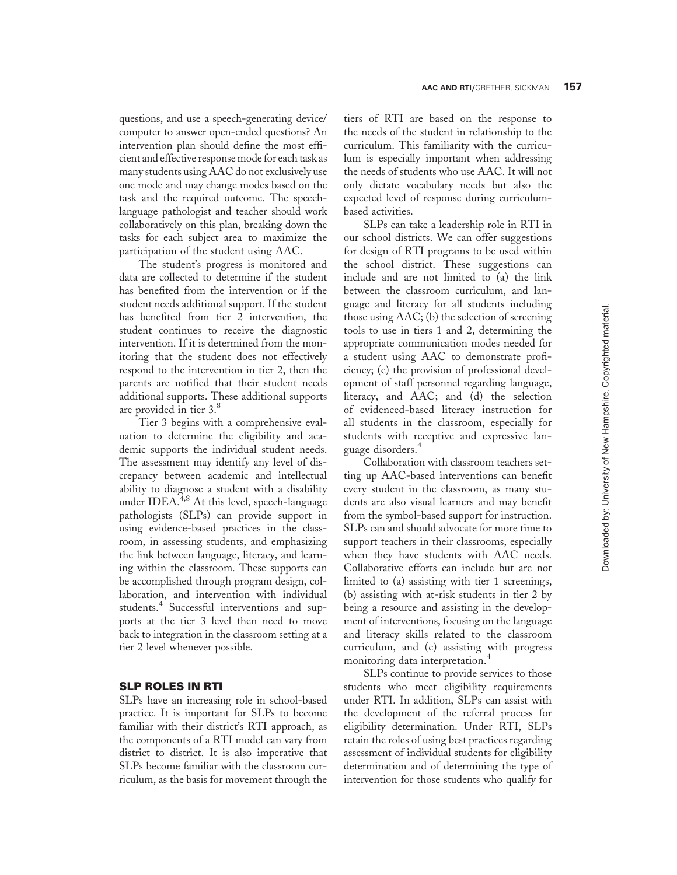questions, and use a speech-generating device/ computer to answer open-ended questions? An intervention plan should define the most efficient and effective response mode for each task as many students using AAC do not exclusively use one mode and may change modes based on the task and the required outcome. The speechlanguage pathologist and teacher should work collaboratively on this plan, breaking down the tasks for each subject area to maximize the participation of the student using AAC.

The student's progress is monitored and data are collected to determine if the student has benefited from the intervention or if the student needs additional support. If the student has benefited from tier 2 intervention, the student continues to receive the diagnostic intervention. If it is determined from the monitoring that the student does not effectively respond to the intervention in tier 2, then the parents are notified that their student needs additional supports. These additional supports are provided in tier 3.<sup>8</sup>

Tier 3 begins with a comprehensive evaluation to determine the eligibility and academic supports the individual student needs. The assessment may identify any level of discrepancy between academic and intellectual ability to diagnose a student with a disability under IDEA.<sup>4,8</sup> At this level, speech-language pathologists (SLPs) can provide support in using evidence-based practices in the classroom, in assessing students, and emphasizing the link between language, literacy, and learning within the classroom. These supports can be accomplished through program design, collaboration, and intervention with individual students.<sup>4</sup> Successful interventions and supports at the tier 3 level then need to move back to integration in the classroom setting at a tier 2 level whenever possible.

### SLP ROLES IN RTI

SLPs have an increasing role in school-based practice. It is important for SLPs to become familiar with their district's RTI approach, as the components of a RTI model can vary from district to district. It is also imperative that SLPs become familiar with the classroom curriculum, as the basis for movement through the

tiers of RTI are based on the response to the needs of the student in relationship to the curriculum. This familiarity with the curriculum is especially important when addressing the needs of students who use AAC. It will not only dictate vocabulary needs but also the expected level of response during curriculumbased activities.

SLPs can take a leadership role in RTI in our school districts. We can offer suggestions for design of RTI programs to be used within the school district. These suggestions can include and are not limited to (a) the link between the classroom curriculum, and language and literacy for all students including those using AAC; (b) the selection of screening tools to use in tiers 1 and 2, determining the appropriate communication modes needed for a student using AAC to demonstrate proficiency; (c) the provision of professional development of staff personnel regarding language, literacy, and AAC; and (d) the selection of evidenced-based literacy instruction for all students in the classroom, especially for students with receptive and expressive language disorders.<sup>4</sup>

Collaboration with classroom teachers setting up AAC-based interventions can benefit every student in the classroom, as many students are also visual learners and may benefit from the symbol-based support for instruction. SLPs can and should advocate for more time to support teachers in their classrooms, especially when they have students with AAC needs. Collaborative efforts can include but are not limited to (a) assisting with tier 1 screenings, (b) assisting with at-risk students in tier 2 by being a resource and assisting in the development of interventions, focusing on the language and literacy skills related to the classroom curriculum, and (c) assisting with progress monitoring data interpretation.<sup>4</sup>

SLPs continue to provide services to those students who meet eligibility requirements under RTI. In addition, SLPs can assist with the development of the referral process for eligibility determination. Under RTI, SLPs retain the roles of using best practices regarding assessment of individual students for eligibility determination and of determining the type of intervention for those students who qualify for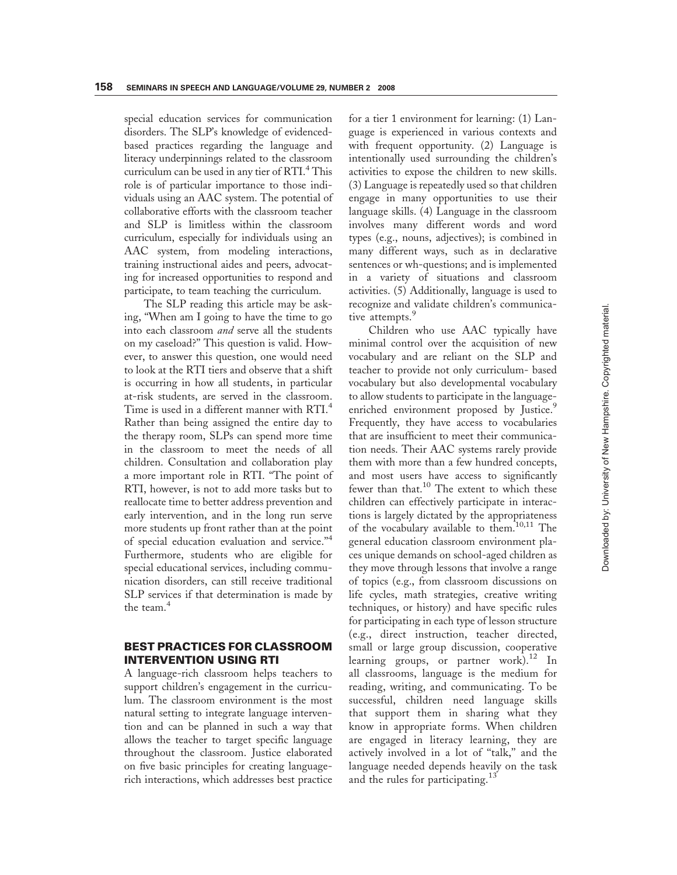special education services for communication disorders. The SLP's knowledge of evidencedbased practices regarding the language and literacy underpinnings related to the classroom curriculum can be used in any tier of RTI.<sup>4</sup> This role is of particular importance to those individuals using an AAC system. The potential of collaborative efforts with the classroom teacher and SLP is limitless within the classroom curriculum, especially for individuals using an AAC system, from modeling interactions, training instructional aides and peers, advocating for increased opportunities to respond and participate, to team teaching the curriculum.

The SLP reading this article may be asking, ''When am I going to have the time to go into each classroom and serve all the students on my caseload?'' This question is valid. However, to answer this question, one would need to look at the RTI tiers and observe that a shift is occurring in how all students, in particular at-risk students, are served in the classroom. Time is used in a different manner with RTI.<sup>4</sup> Rather than being assigned the entire day to the therapy room, SLPs can spend more time in the classroom to meet the needs of all children. Consultation and collaboration play a more important role in RTI. ''The point of RTI, however, is not to add more tasks but to reallocate time to better address prevention and early intervention, and in the long run serve more students up front rather than at the point of special education evaluation and service.''<sup>4</sup> Furthermore, students who are eligible for special educational services, including communication disorders, can still receive traditional SLP services if that determination is made by the team.<sup>4</sup>

# BEST PRACTICES FOR CLASSROOM INTERVENTION USING RTI

A language-rich classroom helps teachers to support children's engagement in the curriculum. The classroom environment is the most natural setting to integrate language intervention and can be planned in such a way that allows the teacher to target specific language throughout the classroom. Justice elaborated on five basic principles for creating languagerich interactions, which addresses best practice

for a tier 1 environment for learning: (1) Language is experienced in various contexts and with frequent opportunity. (2) Language is intentionally used surrounding the children's activities to expose the children to new skills. (3) Language is repeatedly used so that children engage in many opportunities to use their language skills. (4) Language in the classroom involves many different words and word types (e.g., nouns, adjectives); is combined in many different ways, such as in declarative sentences or wh-questions; and is implemented in a variety of situations and classroom activities. (5) Additionally, language is used to recognize and validate children's communicative attempts.<sup>9</sup>

Children who use AAC typically have minimal control over the acquisition of new vocabulary and are reliant on the SLP and teacher to provide not only curriculum- based vocabulary but also developmental vocabulary to allow students to participate in the languageenriched environment proposed by Justice.<sup>9</sup> Frequently, they have access to vocabularies that are insufficient to meet their communication needs. Their AAC systems rarely provide them with more than a few hundred concepts, and most users have access to significantly fewer than that.<sup>10</sup> The extent to which these children can effectively participate in interactions is largely dictated by the appropriateness of the vocabulary available to them.<sup>10,11</sup> The general education classroom environment places unique demands on school-aged children as they move through lessons that involve a range of topics (e.g., from classroom discussions on life cycles, math strategies, creative writing techniques, or history) and have specific rules for participating in each type of lesson structure (e.g., direct instruction, teacher directed, small or large group discussion, cooperative learning groups, or partner work).<sup>12</sup> In all classrooms, language is the medium for reading, writing, and communicating. To be successful, children need language skills that support them in sharing what they know in appropriate forms. When children are engaged in literacy learning, they are actively involved in a lot of "talk," and the language needed depends heavily on the task and the rules for participating.<sup>13</sup>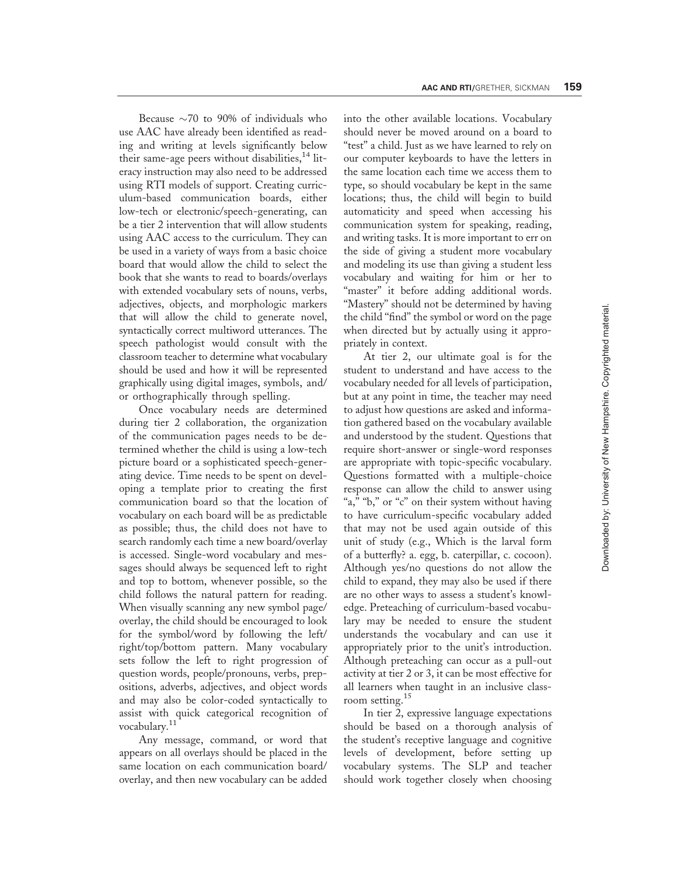Because  $\sim$  70 to 90% of individuals who use AAC have already been identified as reading and writing at levels significantly below their same-age peers without disabilities,<sup>14</sup> literacy instruction may also need to be addressed using RTI models of support. Creating curriculum-based communication boards, either low-tech or electronic/speech-generating, can be a tier 2 intervention that will allow students using AAC access to the curriculum. They can be used in a variety of ways from a basic choice board that would allow the child to select the book that she wants to read to boards/overlays with extended vocabulary sets of nouns, verbs, adjectives, objects, and morphologic markers that will allow the child to generate novel, syntactically correct multiword utterances. The speech pathologist would consult with the classroom teacher to determine what vocabulary should be used and how it will be represented graphically using digital images, symbols, and/ or orthographically through spelling.

Once vocabulary needs are determined during tier 2 collaboration, the organization of the communication pages needs to be determined whether the child is using a low-tech picture board or a sophisticated speech-generating device. Time needs to be spent on developing a template prior to creating the first communication board so that the location of vocabulary on each board will be as predictable as possible; thus, the child does not have to search randomly each time a new board/overlay is accessed. Single-word vocabulary and messages should always be sequenced left to right and top to bottom, whenever possible, so the child follows the natural pattern for reading. When visually scanning any new symbol page/ overlay, the child should be encouraged to look for the symbol/word by following the left/ right/top/bottom pattern. Many vocabulary sets follow the left to right progression of question words, people/pronouns, verbs, prepositions, adverbs, adjectives, and object words and may also be color-coded syntactically to assist with quick categorical recognition of vocabulary.<sup>11</sup>

Any message, command, or word that appears on all overlays should be placed in the same location on each communication board/ overlay, and then new vocabulary can be added into the other available locations. Vocabulary should never be moved around on a board to "test" a child. Just as we have learned to rely on our computer keyboards to have the letters in the same location each time we access them to type, so should vocabulary be kept in the same locations; thus, the child will begin to build automaticity and speed when accessing his communication system for speaking, reading, and writing tasks. It is more important to err on the side of giving a student more vocabulary and modeling its use than giving a student less vocabulary and waiting for him or her to "master" it before adding additional words. ''Mastery'' should not be determined by having the child ''find'' the symbol or word on the page when directed but by actually using it appropriately in context.

At tier 2, our ultimate goal is for the student to understand and have access to the vocabulary needed for all levels of participation, but at any point in time, the teacher may need to adjust how questions are asked and information gathered based on the vocabulary available and understood by the student. Questions that require short-answer or single-word responses are appropriate with topic-specific vocabulary. Questions formatted with a multiple-choice response can allow the child to answer using "a," "b," or "c" on their system without having to have curriculum-specific vocabulary added that may not be used again outside of this unit of study (e.g., Which is the larval form of a butterfly? a. egg, b. caterpillar, c. cocoon). Although yes/no questions do not allow the child to expand, they may also be used if there are no other ways to assess a student's knowledge. Preteaching of curriculum-based vocabulary may be needed to ensure the student understands the vocabulary and can use it appropriately prior to the unit's introduction. Although preteaching can occur as a pull-out activity at tier 2 or 3, it can be most effective for all learners when taught in an inclusive classroom setting.<sup>15</sup>

In tier 2, expressive language expectations should be based on a thorough analysis of the student's receptive language and cognitive levels of development, before setting up vocabulary systems. The SLP and teacher should work together closely when choosing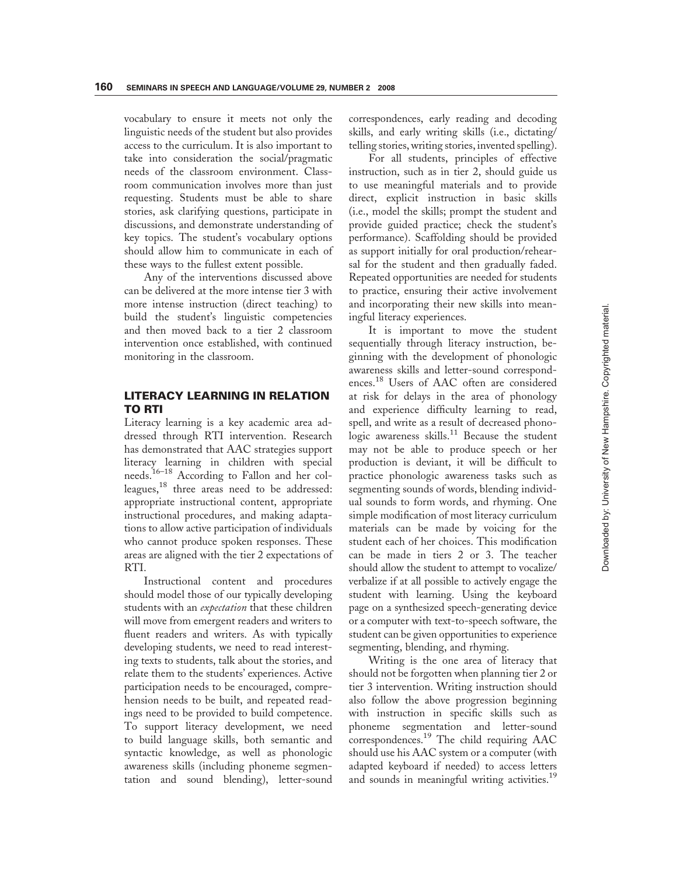vocabulary to ensure it meets not only the linguistic needs of the student but also provides access to the curriculum. It is also important to take into consideration the social/pragmatic needs of the classroom environment. Classroom communication involves more than just requesting. Students must be able to share stories, ask clarifying questions, participate in discussions, and demonstrate understanding of key topics. The student's vocabulary options should allow him to communicate in each of these ways to the fullest extent possible.

Any of the interventions discussed above can be delivered at the more intense tier 3 with more intense instruction (direct teaching) to build the student's linguistic competencies and then moved back to a tier 2 classroom intervention once established, with continued monitoring in the classroom.

# LITERACY LEARNING IN RELATION TO RTI

Literacy learning is a key academic area addressed through RTI intervention. Research has demonstrated that AAC strategies support literacy learning in children with special needs.<sup>16–18</sup> According to Fallon and her colleagues,<sup>18</sup> three areas need to be addressed: appropriate instructional content, appropriate instructional procedures, and making adaptations to allow active participation of individuals who cannot produce spoken responses. These areas are aligned with the tier 2 expectations of RTI.

Instructional content and procedures should model those of our typically developing students with an *expectation* that these children will move from emergent readers and writers to fluent readers and writers. As with typically developing students, we need to read interesting texts to students, talk about the stories, and relate them to the students' experiences. Active participation needs to be encouraged, comprehension needs to be built, and repeated readings need to be provided to build competence. To support literacy development, we need to build language skills, both semantic and syntactic knowledge, as well as phonologic awareness skills (including phoneme segmentation and sound blending), letter-sound correspondences, early reading and decoding skills, and early writing skills (i.e., dictating/ telling stories, writing stories, invented spelling).

For all students, principles of effective instruction, such as in tier 2, should guide us to use meaningful materials and to provide direct, explicit instruction in basic skills (i.e., model the skills; prompt the student and provide guided practice; check the student's performance). Scaffolding should be provided as support initially for oral production/rehearsal for the student and then gradually faded. Repeated opportunities are needed for students to practice, ensuring their active involvement and incorporating their new skills into meaningful literacy experiences.

It is important to move the student sequentially through literacy instruction, beginning with the development of phonologic awareness skills and letter-sound correspondences. <sup>18</sup> Users of AAC often are considered at risk for delays in the area of phonology and experience difficulty learning to read, spell, and write as a result of decreased phonologic awareness skills.<sup>11</sup> Because the student may not be able to produce speech or her production is deviant, it will be difficult to practice phonologic awareness tasks such as segmenting sounds of words, blending individual sounds to form words, and rhyming. One simple modification of most literacy curriculum materials can be made by voicing for the student each of her choices. This modification can be made in tiers 2 or 3. The teacher should allow the student to attempt to vocalize/ verbalize if at all possible to actively engage the student with learning. Using the keyboard page on a synthesized speech-generating device or a computer with text-to-speech software, the student can be given opportunities to experience segmenting, blending, and rhyming.

Writing is the one area of literacy that should not be forgotten when planning tier 2 or tier 3 intervention. Writing instruction should also follow the above progression beginning with instruction in specific skills such as phoneme segmentation and letter-sound correspondences.<sup>19</sup> The child requiring AAC should use his AAC system or a computer (with adapted keyboard if needed) to access letters and sounds in meaningful writing activities.<sup>19</sup>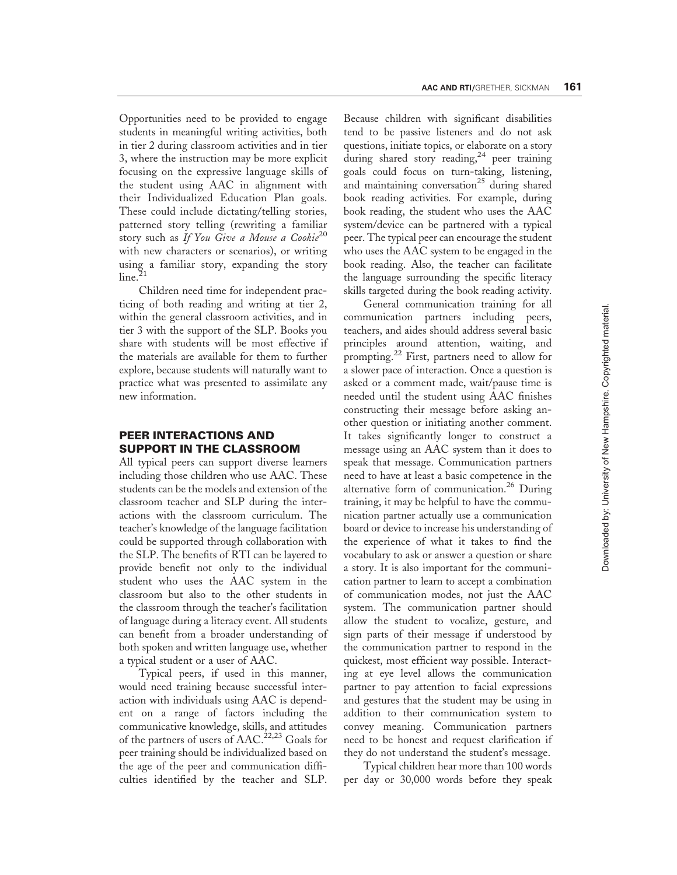Opportunities need to be provided to engage students in meaningful writing activities, both in tier 2 during classroom activities and in tier 3, where the instruction may be more explicit focusing on the expressive language skills of the student using AAC in alignment with their Individualized Education Plan goals. These could include dictating/telling stories, patterned story telling (rewriting a familiar story such as If You Give a Mouse a Cookie<sup>20</sup> with new characters or scenarios), or writing using a familiar story, expanding the story  $line<sup>2</sup>$ 

Children need time for independent practicing of both reading and writing at tier 2, within the general classroom activities, and in tier 3 with the support of the SLP. Books you share with students will be most effective if the materials are available for them to further explore, because students will naturally want to practice what was presented to assimilate any new information.

## PEER INTERACTIONS AND SUPPORT IN THE CLASSROOM

All typical peers can support diverse learners including those children who use AAC. These students can be the models and extension of the classroom teacher and SLP during the interactions with the classroom curriculum. The teacher's knowledge of the language facilitation could be supported through collaboration with the SLP. The benefits of RTI can be layered to provide benefit not only to the individual student who uses the AAC system in the classroom but also to the other students in the classroom through the teacher's facilitation of language during a literacy event. All students can benefit from a broader understanding of both spoken and written language use, whether a typical student or a user of AAC.

Typical peers, if used in this manner, would need training because successful interaction with individuals using AAC is dependent on a range of factors including the communicative knowledge, skills, and attitudes of the partners of users of AAC.<sup>22,23</sup> Goals for peer training should be individualized based on the age of the peer and communication difficulties identified by the teacher and SLP.

Because children with significant disabilities tend to be passive listeners and do not ask questions, initiate topics, or elaborate on a story during shared story reading,<sup>24</sup> peer training goals could focus on turn-taking, listening, and maintaining conversation<sup>25</sup> during shared book reading activities. For example, during book reading, the student who uses the AAC system/device can be partnered with a typical peer. The typical peer can encourage the student who uses the AAC system to be engaged in the book reading. Also, the teacher can facilitate the language surrounding the specific literacy skills targeted during the book reading activity.

General communication training for all communication partners including peers, teachers, and aides should address several basic principles around attention, waiting, and prompting.<sup>22</sup> First, partners need to allow for a slower pace of interaction. Once a question is asked or a comment made, wait/pause time is needed until the student using AAC finishes constructing their message before asking another question or initiating another comment. It takes significantly longer to construct a message using an AAC system than it does to speak that message. Communication partners need to have at least a basic competence in the alternative form of communication.<sup>26</sup> During training, it may be helpful to have the communication partner actually use a communication board or device to increase his understanding of the experience of what it takes to find the vocabulary to ask or answer a question or share a story. It is also important for the communication partner to learn to accept a combination of communication modes, not just the AAC system. The communication partner should allow the student to vocalize, gesture, and sign parts of their message if understood by the communication partner to respond in the quickest, most efficient way possible. Interacting at eye level allows the communication partner to pay attention to facial expressions and gestures that the student may be using in addition to their communication system to convey meaning. Communication partners need to be honest and request clarification if they do not understand the student's message.

Typical children hear more than 100 words per day or 30,000 words before they speak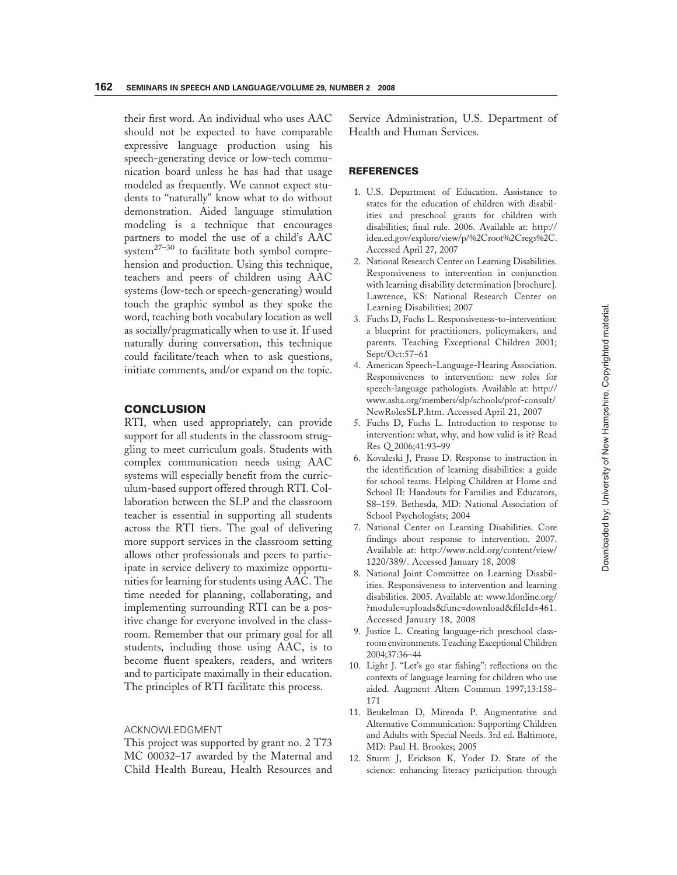their first word. An individual who uses AAC should not be expected to have comparable expressive language production using his speech-generating device or low-tech communication board unless he has had that usage modeled as frequently. We cannot expect students to "naturally" know what to do without demonstration. Aided language stimulation modeling is a technique that encourages partners to model the use of a child's AAC system<sup>27–30</sup> to facilitate both symbol comprehension and production. Using this technique, teachers and peers of children using AAC systems (low-tech or speech-generating) would touch the graphic symbol as they spoke the word, teaching both vocabulary location as well as socially/pragmatically when to use it. If used naturally during conversation, this technique could facilitate/teach when to ask questions, initiate comments, and/or expand on the topic.

### **CONCLUSION**

RTI, when used appropriately, can provide support for all students in the classroom struggling to meet curriculum goals. Students with complex communication needs using AAC systems will especially benefit from the curriculum-based support offered through RTI. Collaboration between the SLP and the classroom teacher is essential in supporting all students across the RTI tiers. The goal of delivering more support services in the classroom setting allows other professionals and peers to participate in service delivery to maximize opportunities for learning for students using AAC. The time needed for planning, collaborating, and implementing surrounding RTI can be a positive change for everyone involved in the classroom. Remember that our primary goal for all students, including those using AAC, is to become fluent speakers, readers, and writers and to participate maximally in their education. The principles of RTI facilitate this process.

#### ACKNOWLEDGMENT

This project was supported by grant no. 2 T73 MC 00032–17 awarded by the Maternal and Child Health Bureau, Health Resources and Service Administration, U.S. Department of Health and Human Services.

#### REFERENCES

- 1. U.S. Department of Education. Assistance to states for the education of children with disabilities and preschool grants for children with disabilities; final rule. 2006. Available at: http:// idea.ed.gov/explore/view/p/%2Croot%2Cregs%2C. Accessed April 27, 2007
- 2. National Research Center on Learning Disabilities. Responsiveness to intervention in conjunction with learning disability determination [brochure]. Lawrence, KS: National Research Center on Learning Disabilities; 2007
- 3. Fuchs D, Fuchs L. Responsiveness-to-intervention: a blueprint for practitioners, policymakers, and parents. Teaching Exceptional Children 2001; Sept/Oct:57–61
- 4. American Speech-Language-Hearing Association. Responsiveness to intervention: new roles for speech-language pathologists. Available at: http:// www.asha.org/members/slp/schools/prof-consult/ NewRolesSLP.htm. Accessed April 21, 2007
- 5. Fuchs D, Fuchs L. Introduction to response to intervention: what, why, and how valid is it? Read Res Q 2006;41:93–99
- 6. Kovaleski J, Prasse D. Response to instruction in the identification of learning disabilities: a guide for school teams. Helping Children at Home and School II: Handouts for Families and Educators, S8–159. Bethesda, MD: National Association of School Psychologists; 2004
- 7. National Center on Learning Disabilities. Core findings about response to intervention. 2007. Available at: http://www.ncld.org/content/view/ 1220/389/. Accessed January 18, 2008
- 8. National Joint Committee on Learning Disabilities. Responsiveness to intervention and learning disabilities. 2005. Available at: www.ldonline.org/ ?module=uploads&func=download&fileId=461. Accessed January 18, 2008
- 9. Justice L. Creating language-rich preschool classroom environments. Teaching Exceptional Children 2004;37:36–44
- 10. Light J. ''Let's go star fishing'': reflections on the contexts of language learning for children who use aided. Augment Altern Commun 1997;13:158– 171
- 11. Beukelman D, Mirenda P. Augmentative and Alternative Communication: Supporting Children and Adults with Special Needs. 3rd ed. Baltimore, MD: Paul H. Brookes; 2005
- 12. Sturm J, Erickson K, Yoder D. State of the science: enhancing literacy participation through